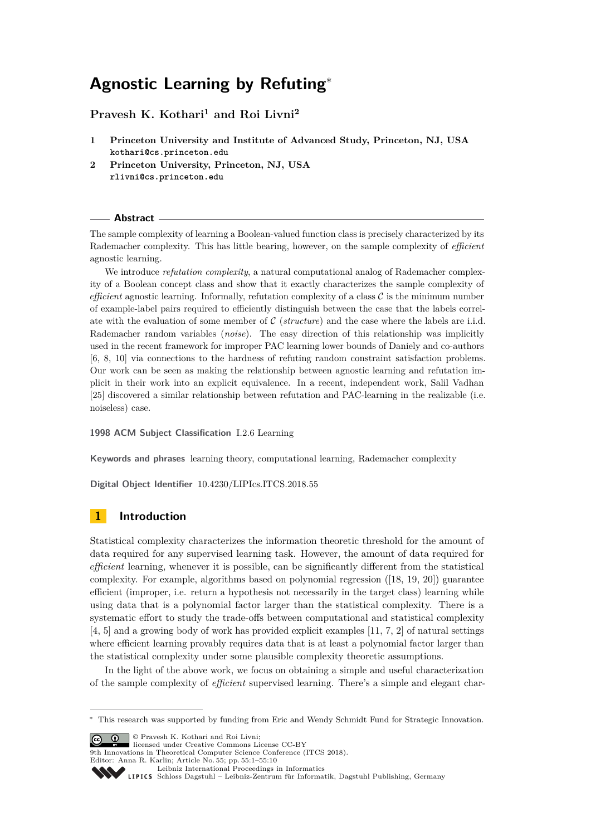# **Agnostic Learning by Refuting**<sup>∗</sup>

**Pravesh K. Kothari<sup>1</sup> and Roi Livni<sup>2</sup>**

- **1 Princeton University and Institute of Advanced Study, Princeton, NJ, USA kothari@cs.princeton.edu**
- **2 Princeton University, Princeton, NJ, USA rlivni@cs.princeton.edu**

#### **Abstract**

The sample complexity of learning a Boolean-valued function class is precisely characterized by its Rademacher complexity. This has little bearing, however, on the sample complexity of *efficient* agnostic learning.

We introduce *refutation complexity*, a natural computational analog of Rademacher complexity of a Boolean concept class and show that it exactly characterizes the sample complexity of *efficient* agnostic learning. Informally, refutation complexity of a class  $\mathcal C$  is the minimum number of example-label pairs required to efficiently distinguish between the case that the labels correlate with the evaluation of some member of C (*structure*) and the case where the labels are i.i.d. Rademacher random variables (*noise*). The easy direction of this relationship was implicitly used in the recent framework for improper PAC learning lower bounds of Daniely and co-authors [\[6,](#page-8-0) [8,](#page-8-1) [10\]](#page-8-2) via connections to the hardness of refuting random constraint satisfaction problems. Our work can be seen as making the relationship between agnostic learning and refutation implicit in their work into an explicit equivalence. In a recent, independent work, Salil Vadhan [\[25\]](#page-9-0) discovered a similar relationship between refutation and PAC-learning in the realizable (i.e. noiseless) case.

**1998 ACM Subject Classification** I.2.6 Learning

**Keywords and phrases** learning theory, computational learning, Rademacher complexity

**Digital Object Identifier** [10.4230/LIPIcs.ITCS.2018.55](http://dx.doi.org/10.4230/LIPIcs.ITCS.2018.55)

# **1 Introduction**

Statistical complexity characterizes the information theoretic threshold for the amount of data required for any supervised learning task. However, the amount of data required for *efficient* learning, whenever it is possible, can be significantly different from the statistical complexity. For example, algorithms based on polynomial regression ([\[18,](#page-9-1) [19,](#page-9-2) [20\]](#page-9-3)) guarantee efficient (improper, i.e. return a hypothesis not necessarily in the target class) learning while using data that is a polynomial factor larger than the statistical complexity. There is a systematic effort to study the trade-offs between computational and statistical complexity [\[4,](#page-8-3) [5\]](#page-8-4) and a growing body of work has provided explicit examples [\[11,](#page-8-5) [7,](#page-8-6) [2\]](#page-8-7) of natural settings where efficient learning provably requires data that is at least a polynomial factor larger than the statistical complexity under some plausible complexity theoretic assumptions.

In the light of the above work, we focus on obtaining a simple and useful characterization of the sample complexity of *efficient* supervised learning. There's a simple and elegant char-

© Pravesh K. Kothari and Roi Livni;  $\boxed{6}$  0

licensed under Creative Commons License CC-BY

9th Innovations in Theoretical Computer Science Conference (ITCS 2018).

Editor: Anna R. Karlin; Article No. 55; pp. 55:1–55[:10](#page-9-4)

<sup>∗</sup> This research was supported by funding from Eric and Wendy Schmidt Fund for Strategic Innovation.

[Leibniz International Proceedings in Informatics](http://www.dagstuhl.de/lipics/) [Schloss Dagstuhl – Leibniz-Zentrum für Informatik, Dagstuhl Publishing, Germany](http://www.dagstuhl.de)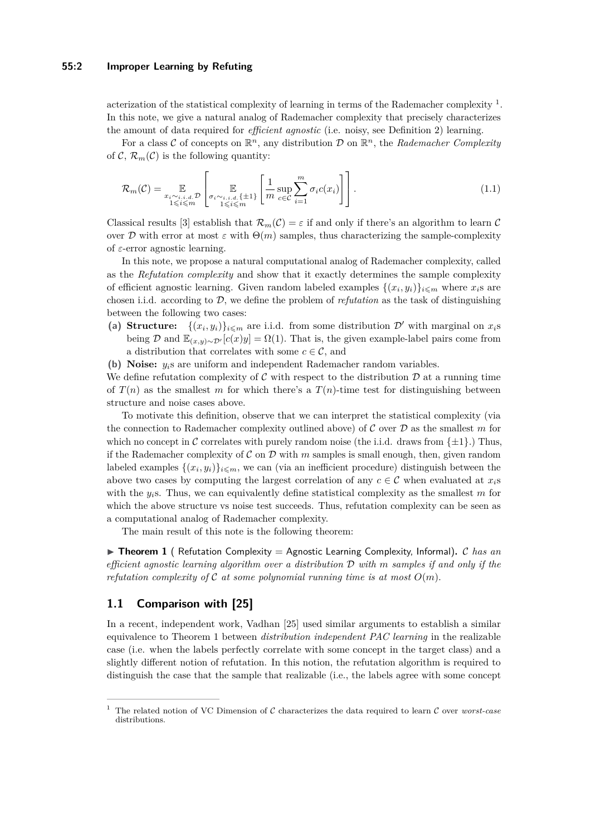## **55:2 Improper Learning by Refuting**

acterization of the statistical complexity of learning in terms of the Rademacher complexity  $^1$  $^1$ . In this note, we give a natural analog of Rademacher complexity that precisely characterizes the amount of data required for *efficient agnostic* (i.e. noisy, see Definition [2\)](#page-4-0) learning.

For a class C of concepts on  $\mathbb{R}^n$ , any distribution D on  $\mathbb{R}^n$ , the Rademacher Complexity of  $\mathcal{C}, \mathcal{R}_m(\mathcal{C})$  is the following quantity:

$$
\mathcal{R}_{m}(\mathcal{C}) = \mathop{\mathbb{E}}_{\substack{x_i \sim i.i.d. \mathcal{D} \\ 1 \le i \le m}} \left[ \mathop{\mathbb{E}}_{\substack{\sigma_i \sim i.i.d. \{\pm 1\} \\ 1 \le i \le m}} \left[ \frac{1}{m} \sup_{c \in \mathcal{C}} \sum_{i=1}^m \sigma_i c(x_i) \right] \right]. \tag{1.1}
$$

Classical results [\[3\]](#page-8-8) establish that  $\mathcal{R}_m(\mathcal{C}) = \varepsilon$  if and only if there's an algorithm to learn C over D with error at most  $\varepsilon$  with  $\Theta(m)$  samples, thus characterizing the sample-complexity of *ε*-error agnostic learning.

In this note, we propose a natural computational analog of Rademacher complexity, called as the *Refutation complexity* and show that it exactly determines the sample complexity of efficient agnostic learning. Given random labeled examples  $\{(x_i, y_i)\}_{i \leq m}$  where  $x_i$ <sup>s</sup> are chosen i.i.d. according to  $D$ , we define the problem of *refutation* as the task of distinguishing between the following two cases:

- (a) **Structure:**  $\{(x_i, y_i)\}_{i \leq m}$  are i.i.d. from some distribution  $\mathcal{D}'$  with marginal on  $x_i$ s being D and  $\mathbb{E}_{(x,y)\sim\mathcal{D}'}[c(x)y] = \Omega(1)$ . That is, the given example-label pairs come from a distribution that correlates with some  $c \in \mathcal{C}$ , and
- **(b) Noise:** *yi*s are uniform and independent Rademacher random variables.

We define refutation complexity of  $\mathcal C$  with respect to the distribution  $\mathcal D$  at a running time of  $T(n)$  as the smallest *m* for which there's a  $T(n)$ -time test for distinguishing between structure and noise cases above.

To motivate this definition, observe that we can interpret the statistical complexity (via the connection to Rademacher complexity outlined above) of  $\mathcal C$  over  $\mathcal D$  as the smallest  $m$  for which no concept in C correlates with purely random noise (the i.i.d. draws from  $\{\pm 1\}$ .) Thus, if the Rademacher complexity of  $\mathcal C$  on  $\mathcal D$  with  $m$  samples is small enough, then, given random labeled examples  $\{(x_i, y_i)\}_{i \leq m}$ , we can (via an inefficient procedure) distinguish between the above two cases by computing the largest correlation of any  $c \in \mathcal{C}$  when evaluated at  $x_i$ with the  $y_i$ s. Thus, we can equivalently define statistical complexity as the smallest  $m$  for which the above structure vs noise test succeeds. Thus, refutation complexity can be seen as a computational analog of Rademacher complexity.

The main result of this note is the following theorem:

<span id="page-1-1"></span> $\triangleright$  **Theorem 1** ( Refutation Complexity = Agnostic Learning Complexity, Informal), C has an *efficient agnostic learning algorithm over a distribution* D *with m samples if and only if the refutation complexity of*  $\mathcal{C}$  *at some polynomial running time is at most*  $O(m)$ *.* 

# **1.1 Comparison with [\[25\]](#page-9-0)**

In a recent, independent work, Vadhan [\[25\]](#page-9-0) used similar arguments to establish a similar equivalence to Theorem [1](#page-1-1) between *distribution independent PAC learning* in the realizable case (i.e. when the labels perfectly correlate with some concept in the target class) and a slightly different notion of refutation. In this notion, the refutation algorithm is required to distinguish the case that the sample that realizable (i.e., the labels agree with some concept

<span id="page-1-0"></span><sup>1</sup> The related notion of VC Dimension of C characterizes the data required to learn C over *worst-case* distributions.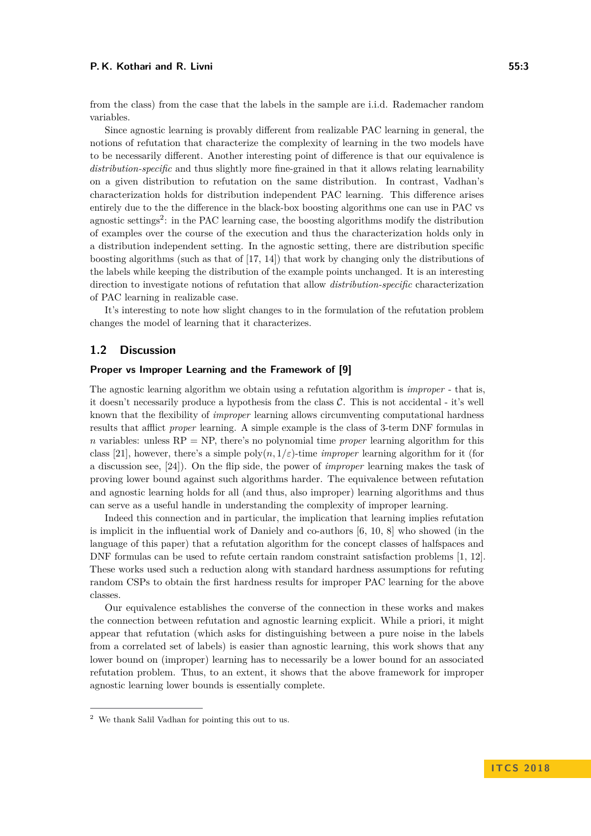#### **P. K. Kothari and R. Livni 55:3**

from the class) from the case that the labels in the sample are i.i.d. Rademacher random variables.

Since agnostic learning is provably different from realizable PAC learning in general, the notions of refutation that characterize the complexity of learning in the two models have to be necessarily different. Another interesting point of difference is that our equivalence is *distribution-specific* and thus slightly more fine-grained in that it allows relating learnability on a given distribution to refutation on the same distribution. In contrast, Vadhan's characterization holds for distribution independent PAC learning. This difference arises entirely due to the the difference in the black-box boosting algorithms one can use in PAC vs agnostic settings<sup>[2](#page-2-0)</sup>: in the PAC learning case, the boosting algorithms modify the distribution of examples over the course of the execution and thus the characterization holds only in a distribution independent setting. In the agnostic setting, there are distribution specific boosting algorithms (such as that of [\[17,](#page-8-9) [14\]](#page-8-10)) that work by changing only the distributions of the labels while keeping the distribution of the example points unchanged. It is an interesting direction to investigate notions of refutation that allow *distribution-specific* characterization of PAC learning in realizable case.

It's interesting to note how slight changes to in the formulation of the refutation problem changes the model of learning that it characterizes.

# **1.2 Discussion**

## **Proper vs Improper Learning and the Framework of [\[9\]](#page-8-11)**

The agnostic learning algorithm we obtain using a refutation algorithm is *improper* - that is, it doesn't necessarily produce a hypothesis from the class  $C$ . This is not accidental - it's well known that the flexibility of *improper* learning allows circumventing computational hardness results that afflict *proper* learning. A simple example is the class of 3-term DNF formulas in *n* variables: unless  $RP = NP$ , there's no polynomial time *proper* learning algorithm for this class [\[21\]](#page-9-5), however, there's a simple  $\text{poly}(n, 1/\varepsilon)$ -time *improper* learning algorithm for it (for a discussion see, [\[24\]](#page-9-6)). On the flip side, the power of *improper* learning makes the task of proving lower bound against such algorithms harder. The equivalence between refutation and agnostic learning holds for all (and thus, also improper) learning algorithms and thus can serve as a useful handle in understanding the complexity of improper learning.

Indeed this connection and in particular, the implication that learning implies refutation is implicit in the influential work of Daniely and co-authors [\[6,](#page-8-0) [10,](#page-8-2) [8\]](#page-8-1) who showed (in the language of this paper) that a refutation algorithm for the concept classes of halfspaces and DNF formulas can be used to refute certain random constraint satisfaction problems [\[1,](#page-8-12) [12\]](#page-8-13). These works used such a reduction along with standard hardness assumptions for refuting random CSPs to obtain the first hardness results for improper PAC learning for the above classes.

Our equivalence establishes the converse of the connection in these works and makes the connection between refutation and agnostic learning explicit. While a priori, it might appear that refutation (which asks for distinguishing between a pure noise in the labels from a correlated set of labels) is easier than agnostic learning, this work shows that any lower bound on (improper) learning has to necessarily be a lower bound for an associated refutation problem. Thus, to an extent, it shows that the above framework for improper agnostic learning lower bounds is essentially complete.

<span id="page-2-0"></span><sup>2</sup> We thank Salil Vadhan for pointing this out to us.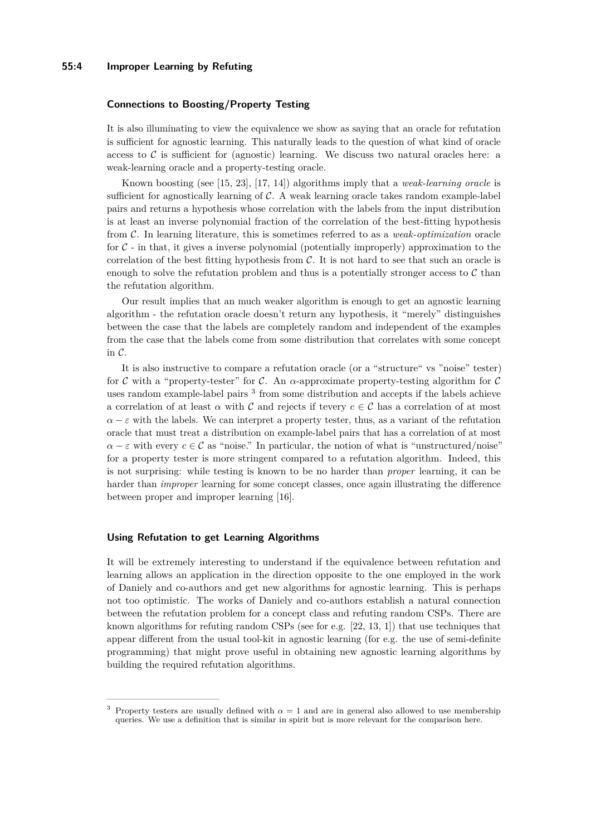## **55:4 Improper Learning by Refuting**

#### **Connections to Boosting/Property Testing**

It is also illuminating to view the equivalence we show as saying that an oracle for refutation is sufficient for agnostic learning. This naturally leads to the question of what kind of oracle access to  $\mathcal C$  is sufficient for (agnostic) learning. We discuss two natural oracles here: a weak-learning oracle and a property-testing oracle.

Known boosting (see [\[15,](#page-8-14) [23\]](#page-9-7), [\[17,](#page-8-9) [14\]](#page-8-10)) algorithms imply that a *weak-learning oracle* is sufficient for agnostically learning of  $C$ . A weak learning oracle takes random example-label pairs and returns a hypothesis whose correlation with the labels from the input distribution is at least an inverse polynomial fraction of the correlation of the best-fitting hypothesis from C. In learning literature, this is sometimes referred to as a *weak-optimization* oracle for  $\mathcal{C}$  - in that, it gives a inverse polynomial (potentially improperly) approximation to the correlation of the best fitting hypothesis from  $C$ . It is not hard to see that such an oracle is enough to solve the refutation problem and thus is a potentially stronger access to  $\mathcal C$  than the refutation algorithm.

Our result implies that an much weaker algorithm is enough to get an agnostic learning algorithm - the refutation oracle doesn't return any hypothesis, it "merely" distinguishes between the case that the labels are completely random and independent of the examples from the case that the labels come from some distribution that correlates with some concept in C.

It is also instructive to compare a refutation oracle (or a "structure" vs "noise" tester) for C with a "property-tester" for C. An  $\alpha$ -approximate property-testing algorithm for C uses random example-label pairs<sup>[3](#page-3-0)</sup> from some distribution and accepts if the labels achieve a correlation of at least  $\alpha$  with  $\mathcal C$  and rejects if tevery  $c \in \mathcal C$  has a correlation of at most  $\alpha - \varepsilon$  with the labels. We can interpret a property tester, thus, as a variant of the refutation oracle that must treat a distribution on example-label pairs that has a correlation of at most  $\alpha - \varepsilon$  with every  $c \in \mathcal{C}$  as "noise." In particular, the notion of what is "unstructured/noise" for a property tester is more stringent compared to a refutation algorithm. Indeed, this is not surprising: while testing is known to be no harder than *proper* learning, it can be harder than *improper* learning for some concept classes, once again illustrating the difference between proper and improper learning [\[16\]](#page-8-15).

## **Using Refutation to get Learning Algorithms**

It will be extremely interesting to understand if the equivalence between refutation and learning allows an application in the direction opposite to the one employed in the work of Daniely and co-authors and get new algorithms for agnostic learning. This is perhaps not too optimistic. The works of Daniely and co-authors establish a natural connection between the refutation problem for a concept class and refuting random CSPs. There are known algorithms for refuting random CSPs (see for e.g.  $[22, 13, 1]$  $[22, 13, 1]$  $[22, 13, 1]$  $[22, 13, 1]$  $[22, 13, 1]$ ) that use techniques that appear different from the usual tool-kit in agnostic learning (for e.g. the use of semi-definite programming) that might prove useful in obtaining new agnostic learning algorithms by building the required refutation algorithms.

<span id="page-3-0"></span><sup>&</sup>lt;sup>3</sup> Property testers are usually defined with  $\alpha = 1$  and are in general also allowed to use membership queries. We use a definition that is similar in spirit but is more relevant for the comparison here.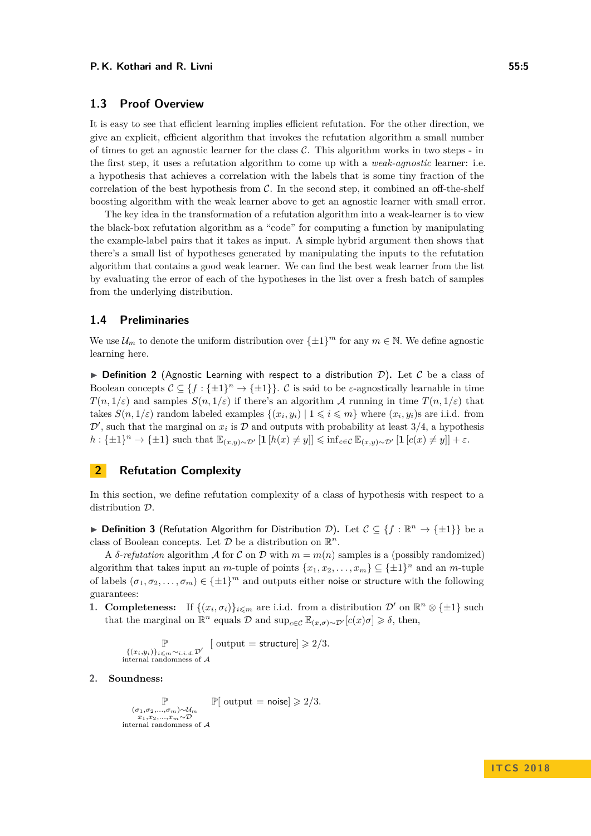## **1.3 Proof Overview**

It is easy to see that efficient learning implies efficient refutation. For the other direction, we give an explicit, efficient algorithm that invokes the refutation algorithm a small number of times to get an agnostic learner for the class  $\mathcal{C}$ . This algorithm works in two steps - in the first step, it uses a refutation algorithm to come up with a *weak-agnostic* learner: i.e. a hypothesis that achieves a correlation with the labels that is some tiny fraction of the correlation of the best hypothesis from  $\mathcal{C}$ . In the second step, it combined an off-the-shelf boosting algorithm with the weak learner above to get an agnostic learner with small error.

The key idea in the transformation of a refutation algorithm into a weak-learner is to view the black-box refutation algorithm as a "code" for computing a function by manipulating the example-label pairs that it takes as input. A simple hybrid argument then shows that there's a small list of hypotheses generated by manipulating the inputs to the refutation algorithm that contains a good weak learner. We can find the best weak learner from the list by evaluating the error of each of the hypotheses in the list over a fresh batch of samples from the underlying distribution.

## **1.4 Preliminaries**

We use  $\mathcal{U}_m$  to denote the uniform distribution over  $\{\pm 1\}^m$  for any  $m \in \mathbb{N}$ . We define agnostic learning here.

<span id="page-4-0"></span>**Definition 2** (Agnostic Learning with respect to a distribution D). Let C be a class of Boolean concepts  $C \subseteq \{f : \{\pm 1\}^n \to \{\pm 1\}\}\$ . C is said to be *ε*-agnostically learnable in time *T*(*n,* 1/*ε*) and samples  $S(n, 1/\varepsilon)$  if there's an algorithm A running in time  $T(n, 1/\varepsilon)$  that takes  $S(n, 1/\varepsilon)$  random labeled examples  $\{(x_i, y_i) | 1 \leq i \leq m\}$  where  $(x_i, y_i)$ s are i.i.d. from  $\mathcal{D}'$ , such that the marginal on  $x_i$  is  $\mathcal D$  and outputs with probability at least 3/4, a hypothesis  $h: \{\pm 1\}^n \to \{\pm 1\}$  such that  $\mathbb{E}_{(x,y)\sim \mathcal{D}'}[\mathbf{1}[h(x) \neq y]] \leq \inf_{c \in \mathcal{C}} \mathbb{E}_{(x,y)\sim \mathcal{D}'}[\mathbf{1}[c(x) \neq y]] + \varepsilon.$ 

# **2 Refutation Complexity**

In this section, we define refutation complexity of a class of hypothesis with respect to a distribution D.

**▶ Definition 3** (Refutation Algorithm for Distribution *D*). Let  $C \subseteq \{f : \mathbb{R}^n \to \{\pm 1\}\}$  be a class of Boolean concepts. Let  $D$  be a distribution on  $\mathbb{R}^n$ .

A *δ*-*refutation* algorithm *A* for *C* on *D* with  $m = m(n)$  samples is a (possibly randomized) algorithm that takes input an *m*-tuple of points  $\{x_1, x_2, \ldots, x_m\} \subseteq {\pm 1}^n$  and an *m*-tuple of labels  $(\sigma_1, \sigma_2, \ldots, \sigma_m) \in \{\pm 1\}^m$  and outputs either noise or structure with the following guarantees:

**1. Completeness:** If  $\{(x_i, \sigma_i)\}_{i \leq m}$  are i.i.d. from a distribution  $\mathcal{D}'$  on  $\mathbb{R}^n \otimes {\{\pm 1\}}$  such that the marginal on  $\mathbb{R}^n$  equals  $\mathcal{D}$  and  $\sup_{c \in \mathcal{C}} \mathbb{E}_{(x,\sigma) \sim \mathcal{D}'}[c(x)\sigma] \geq \delta$ , then,

$$
\mathbb{P}\left[\text{output} = \text{structure}\right] \geq 2/3.
$$
  

$$
\{(x_i, y_i)\}_{i \leq m \sim i.i.d.} \mathcal{D}'
$$
  
internal randomness of  $\mathcal{A}$ 

## **2. Soundness:**

$$
\mathop{\mathbb{P}}_{\substack{(\sigma_1, \sigma_2, \ldots, \sigma_m) \sim \mathcal{U}_m \\ x_1, x_2, \ldots, x_m \sim \mathcal{D} \\ \text{internal randomness of }\mathcal{A}}} \mathop{\mathbb{P}}[\text{ output = noise}] \geqslant 2/3.
$$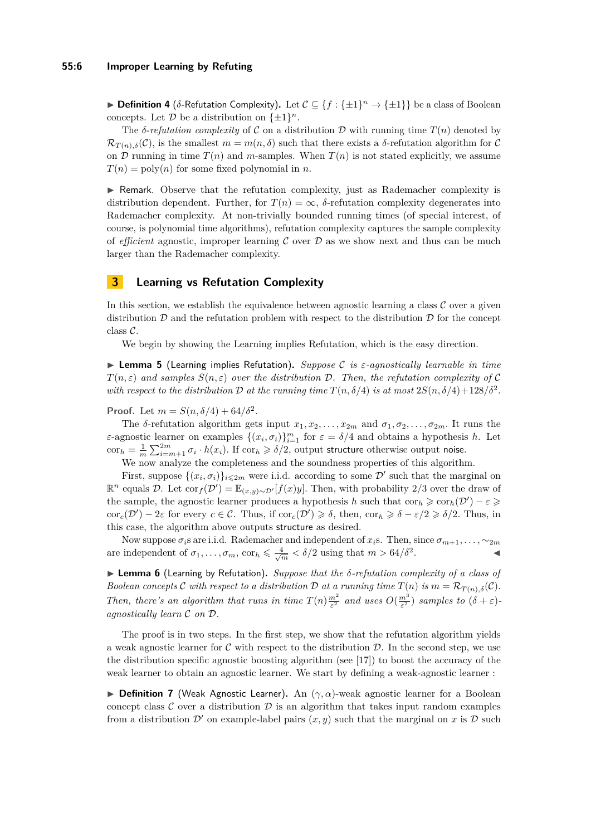**▶ Definition 4** ( $\delta$ -Refutation Complexity). Let  $C \subseteq \{f : \{\pm 1\}^n \to \{\pm 1\}\}\$  be a class of Boolean concepts. Let  $D$  be a distribution on  $\{\pm 1\}^n$ .

The *δ*-*refutation complexity* of C on a distribution D with running time  $T(n)$  denoted by  $\mathcal{R}_{T(n),\delta}(\mathcal{C})$ , is the smallest  $m = m(n,\delta)$  such that there exists a  $\delta$ -refutation algorithm for  $\mathcal{C}$ on D running in time  $T(n)$  and m-samples. When  $T(n)$  is not stated explicitly, we assume  $T(n) = \text{poly}(n)$  for some fixed polynomial in *n*.

I Remark. Observe that the refutation complexity, just as Rademacher complexity is distribution dependent. Further, for  $T(n) = \infty$ ,  $\delta$ -refutation complexity degenerates into Rademacher complexity. At non-trivially bounded running times (of special interest, of course, is polynomial time algorithms), refutation complexity captures the sample complexity of *efficient* agnostic, improper learning  $\mathcal C$  over  $\mathcal D$  as we show next and thus can be much larger than the Rademacher complexity.

# **3 Learning vs Refutation Complexity**

In this section, we establish the equivalence between agnostic learning a class  $\mathcal C$  over a given distribution  $\mathcal D$  and the refutation problem with respect to the distribution  $\mathcal D$  for the concept class C.

We begin by showing the Learning implies Refutation, which is the easy direction.

I **Lemma 5** (Learning implies Refutation)**.** *Suppose* C *is ε-agnostically learnable in time*  $T(n,\varepsilon)$  *and samples*  $S(n,\varepsilon)$  *over the distribution* D. Then, the refutation complexity of C with respect to the distribution  $\mathcal D$  at the running time  $T(n, \delta/4)$  is at most  $2S(n, \delta/4) + 128/\delta^2$ .

**Proof.** Let  $m = S(n, \delta/4) + 64/\delta^2$ .

The *δ*-refutation algorithm gets input  $x_1, x_2, \ldots, x_{2m}$  and  $\sigma_1, \sigma_2, \ldots, \sigma_{2m}$ . It runs the *ε*-agnostic learner on examples  $\{(x_i, \sigma_i)\}_{i=1}^m$  for  $\varepsilon = \delta/4$  and obtains a hypothesis *h*. Let  $\text{corr}_h = \frac{1}{m} \sum_{i=m+1}^{2m} \sigma_i \cdot h(x_i)$ . If  $\text{corr}_h \ge \delta/2$ , output structure otherwise output noise.

We now analyze the completeness and the soundness properties of this algorithm.

First, suppose  $\{(x_i, \sigma_i)\}_{i \leq 2m}$  were i.i.d. according to some  $\mathcal{D}'$  such that the marginal on  $\mathbb{R}^n$  equals *D*. Let cor<sub>*f*</sub>(*D'*) =  $\mathbb{E}_{(x,y)\sim\mathcal{D}'}[f(x)y]$ . Then, with probability 2/3 over the draw of the sample, the agnostic learner produces a hypothesis *h* such that  $\text{cor}_h \geqslant \text{cor}_h(\mathcal{D}') - \varepsilon \geqslant$  $\operatorname{cor}_c(\mathcal{D}') - 2\varepsilon$  for every  $c \in \mathcal{C}$ . Thus, if  $\operatorname{cor}_c(\mathcal{D}') \geq \delta$ , then,  $\operatorname{cor}_h \geq \delta - \varepsilon/2 \geq \delta/2$ . Thus, in this case, the algorithm above outputs structure as desired.

Now suppose  $\sigma_i$ s are i.i.d. Rademacher and independent of  $x_i$ s. Then, since  $\sigma_{m+1}, \ldots, \sim_{2m}$ are independent of  $\sigma_1, \ldots, \sigma_m$ ,  $\cot_h \leq \frac{4}{\sqrt{m}} < \delta/2$  using that  $m > \frac{64}{\delta^2}$ *.* J

<span id="page-5-0"></span>I **Lemma 6** (Learning by Refutation)**.** *Suppose that the δ-refutation complexity of a class of Boolean concepts* C *with respect to a distribution* D *at a running time*  $T(n)$  *is*  $m = \mathcal{R}_{T(n),\delta}(\mathcal{C})$ *. Then, there's an algorithm that runs in time*  $T(n) \frac{m^2}{\varepsilon^2}$  *and uses*  $O(\frac{m^3}{\varepsilon^2})$  *samples to*  $(\delta + \varepsilon)$ *agnostically learn* C *on* D*.*

The proof is in two steps. In the first step, we show that the refutation algorithm yields a weak agnostic learner for  $\mathcal C$  with respect to the distribution  $\mathcal D$ . In the second step, we use the distribution specific agnostic boosting algorithm (see [\[17\]](#page-8-9)) to boost the accuracy of the weak learner to obtain an agnostic learner. We start by defining a weak-agnostic learner :

**Definition 7** (Weak Agnostic Learner). An  $(\gamma, \alpha)$ -weak agnostic learner for a Boolean concept class  $\mathcal C$  over a distribution  $\mathcal D$  is an algorithm that takes input random examples from a distribution  $\mathcal{D}'$  on example-label pairs  $(x, y)$  such that the marginal on x is  $\mathcal{D}$  such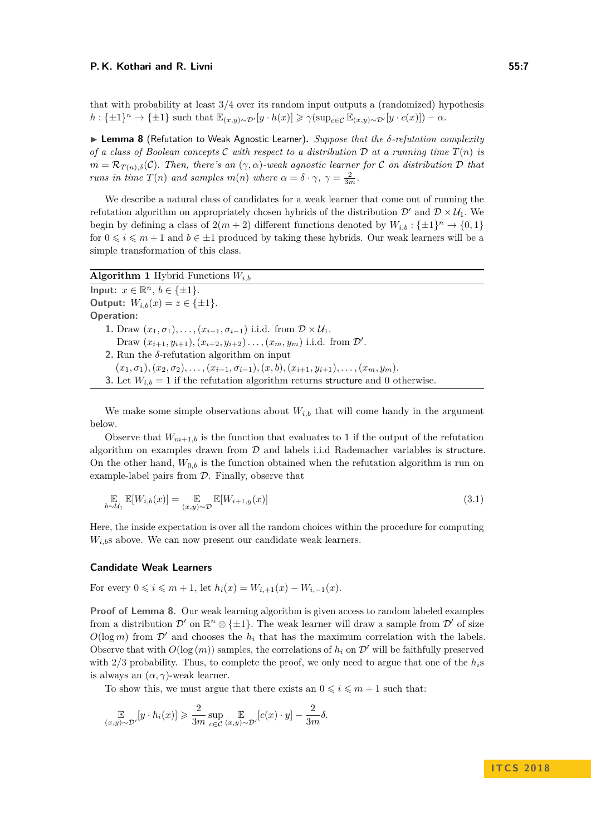that with probability at least 3*/*4 over its random input outputs a (randomized) hypothesis  $h: \{\pm 1\}^n \to \{\pm 1\}$  such that  $\mathbb{E}_{(x,y)\sim \mathcal{D}'}[y \cdot h(x)] \geq \gamma(\sup_{c \in \mathcal{C}} \mathbb{E}_{(x,y)\sim \mathcal{D}'}[y \cdot c(x)]) - \alpha.$ 

<span id="page-6-0"></span>I **Lemma 8** (Refutation to Weak Agnostic Learner)**.** *Suppose that the δ-refutation complexity of a class of Boolean concepts* C with respect to a distribution D at a running time  $T(n)$  is  $m = \mathcal{R}_{T(n),\delta}(\mathcal{C})$ *. Then, there's an*  $(\gamma,\alpha)$ *-weak agnostic learner for* C *on distribution* D *that runs in time*  $T(n)$  *and samples*  $m(n)$  *where*  $\alpha = \delta \cdot \gamma$ ,  $\gamma = \frac{2}{3m}$ .

We describe a natural class of candidates for a weak learner that come out of running the refutation algorithm on appropriately chosen hybrids of the distribution  $\mathcal{D}'$  and  $\mathcal{D} \times \mathcal{U}_1$ . We begin by defining a class of  $2(m+2)$  different functions denoted by  $W_{i,b}: \{\pm 1\}^n \to \{0,1\}$ for  $0 \leq i \leq m+1$  and  $b \in \pm 1$  produced by taking these hybrids. Our weak learners will be a simple transformation of this class.

| <b>Algorithm 1</b> Hybrid Functions $W_{i,b}$                                                                        |
|----------------------------------------------------------------------------------------------------------------------|
| Input: $x \in \mathbb{R}^n$ , $b \in \{\pm 1\}$ .                                                                    |
| Output: $W_{i,b}(x) = z \in \{\pm 1\}.$                                                                              |
| <b>Operation:</b>                                                                                                    |
| 1. Draw $(x_1,\sigma_1),\ldots,(x_{i-1},\sigma_{i-1})$ i.i.d. from $\mathcal{D}\times\mathcal{U}_1$ .                |
| Draw $(x_{i+1}, y_{i+1}), (x_{i+2}, y_{i+2}), \ldots, (x_m, y_m)$ i.i.d. from $\mathcal{D}'$ .                       |
| 2. Run the $\delta$ -refutation algorithm on input                                                                   |
| $(x_1, \sigma_1), (x_2, \sigma_2), \ldots, (x_{i-1}, \sigma_{i-1}), (x, b), (x_{i+1}, y_{i+1}), \ldots, (x_m, y_m).$ |
| <b>3.</b> Let $W_{i,b} = 1$ if the refutation algorithm returns structure and 0 otherwise.                           |

We make some simple observations about  $W_{i,b}$  that will come handy in the argument below.

Observe that  $W_{m+1,b}$  is the function that evaluates to 1 if the output of the refutation algorithm on examples drawn from D and labels i.i.d Rademacher variables is structure. On the other hand,  $W_{0,b}$  is the function obtained when the refutation algorithm is run on example-label pairs from  $D$ . Finally, observe that

<span id="page-6-1"></span>
$$
\mathbb{E}_{b \sim \mathcal{U}_1} \mathbb{E}[W_{i,b}(x)] = \mathbb{E}_{(x,y) \sim \mathcal{D}} \mathbb{E}[W_{i+1,y}(x)] \tag{3.1}
$$

Here, the inside expectation is over all the random choices within the procedure for computing  $W_{i,b}$ s above. We can now present our candidate weak learners.

### **Candidate Weak Learners**

For every  $0 \leq i \leq m+1$ , let  $h_i(x) = W_{i+1}(x) - W_{i-1}(x)$ .

**Proof of Lemma [8.](#page-6-0)** Our weak learning algorithm is given access to random labeled examples from a distribution  $\mathcal{D}'$  on  $\mathbb{R}^n \otimes {\{\pm 1\}}$ . The weak learner will draw a sample from  $\mathcal{D}'$  of size  $O(\log m)$  from  $\mathcal{D}'$  and chooses the  $h_i$  that has the maximum correlation with the labels. Observe that with  $O(\log(m))$  samples, the correlations of  $h_i$  on  $\mathcal{D}'$  will be faithfully preserved with  $2/3$  probability. Thus, to complete the proof, we only need to argue that one of the  $h_i$ s is always an  $(\alpha, \gamma)$ -weak learner.

To show this, we must argue that there exists an  $0 \leq i \leq m+1$  such that:

$$
\mathop{\mathbb{E}}_{(x,y)\sim\mathcal{D}'}[y\cdot h_i(x)]\geqslant\frac{2}{3m}\sup_{c\in\mathcal{C}}\mathop{\mathbb{E}}_{(x,y)\sim\mathcal{D}'}[c(x)\cdot y]-\frac{2}{3m}\delta.
$$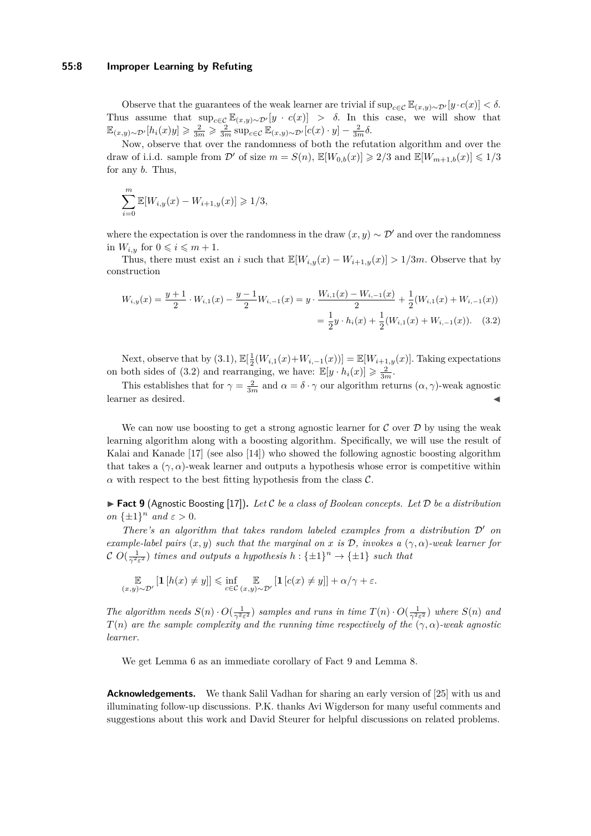#### **55:8 Improper Learning by Refuting**

Observe that the guarantees of the weak learner are trivial if  $\sup_{c \in C} \mathbb{E}_{(x,y) \sim \mathcal{D}'}[y \cdot c(x)] < \delta$ . Thus assume that  $\sup_{c\in\mathcal{C}} \mathbb{E}_{(x,y)\sim\mathcal{D}'}[y\cdot c(x)] > \delta$ . In this case, we will show that  $\mathbb{E}_{(x,y)\sim\mathcal{D}'}[h_i(x)y] \geqslant \frac{2}{3m} \geqslant \frac{2}{3m} \sup_{c\in\mathcal{C}} \mathbb{E}_{(x,y)\sim\mathcal{D}'}[c(x)\cdot y] - \frac{2}{3m}\delta.$ 

Now, observe that over the randomness of both the refutation algorithm and over the draw of i.i.d. sample from  $\mathcal{D}'$  of size  $m = S(n)$ ,  $\mathbb{E}[W_{0,b}(x)] \geq 2/3$  and  $\mathbb{E}[W_{m+1,b}(x)] \leq 1/3$ for any *b*. Thus,

$$
\sum_{i=0}^{m} \mathbb{E}[W_{i,y}(x) - W_{i+1,y}(x)] \geq 1/3,
$$

where the expectation is over the randomness in the draw  $(x, y) \sim \mathcal{D}'$  and over the randomness in  $W_{i,y}$  for  $0 \leqslant i \leqslant m+1$ .

Thus, there must exist an *i* such that  $\mathbb{E}[W_{i,y}(x) - W_{i+1,y}(x)] > 1/3m$ . Observe that by construction

<span id="page-7-0"></span>
$$
W_{i,y}(x) = \frac{y+1}{2} \cdot W_{i,1}(x) - \frac{y-1}{2} W_{i,-1}(x) = y \cdot \frac{W_{i,1}(x) - W_{i,-1}(x)}{2} + \frac{1}{2} (W_{i,1}(x) + W_{i,-1}(x))
$$
  
=  $\frac{1}{2} y \cdot h_i(x) + \frac{1}{2} (W_{i,1}(x) + W_{i,-1}(x))$ . (3.2)

Next, observe that by  $(3.1)$ ,  $\mathbb{E}[\frac{1}{2}(W_{i,1}(x)+W_{i,-1}(x))] = \mathbb{E}[W_{i+1,y}(x)]$ . Taking expectations on both sides of [\(3.2\)](#page-7-0) and rearranging, we have:  $\mathbb{E}[y \cdot h_i(x)] \geq \frac{2}{3m}$ .

This establishes that for  $\gamma = \frac{2}{3m}$  and  $\alpha = \delta \cdot \gamma$  our algorithm returns  $(\alpha, \gamma)$ -weak agnostic learner as desired.

We can now use boosting to get a strong agnostic learner for  $\mathcal C$  over  $\mathcal D$  by using the weak learning algorithm along with a boosting algorithm. Specifically, we will use the result of Kalai and Kanade [\[17\]](#page-8-9) (see also [\[14\]](#page-8-10)) who showed the following agnostic boosting algorithm that takes a  $(\gamma, \alpha)$ -weak learner and outputs a hypothesis whose error is competitive within  $\alpha$  with respect to the best fitting hypothesis from the class  $\mathcal{C}$ .

<span id="page-7-1"></span>**Fact 9** (Agnostic Boosting [\[17\]](#page-8-9)). Let C be a class of Boolean concepts. Let  $D$  be a distribution *on*  $\{\pm 1\}^n$  *and*  $\varepsilon > 0$ *.* 

*There's an algorithm that takes random labeled examples from a distribution*  $D'$  *on example-label pairs*  $(x, y)$  *such that the marginal on*  $x$  *is*  $D$ *, invokes a*  $(\gamma, \alpha)$ *-weak learner for*  $\mathcal{C}$   $O(\frac{1}{\gamma^2 \varepsilon^2})$  *times and outputs a hypothesis*  $h: \{\pm 1\}^n \to \{\pm 1\}$  *such that* 

$$
\mathop{\mathbb{E}}_{(x,y)\sim\mathcal{D}'}\left[\mathbf{1}\left[h(x)\neq y\right]\right]\leq \inf_{c\in\mathcal{C}}\mathop{\mathbb{E}}_{(x,y)\sim\mathcal{D}'}\left[\mathbf{1}\left[c(x)\neq y\right]\right]+\alpha/\gamma+\varepsilon.
$$

*The algorithm needs*  $S(n) \cdot O(\frac{1}{\gamma^2 \varepsilon^2})$  *samples and runs in time*  $T(n) \cdot O(\frac{1}{\gamma^2 \varepsilon^2})$  *where*  $S(n)$  *and T*(*n*) *are the sample complexity and the running time respectively of the*  $(\gamma, \alpha)$ -weak agnostic *learner.*

We get Lemma [6](#page-5-0) as an immediate corollary of Fact [9](#page-7-1) and Lemma [8.](#page-6-0)

**Acknowledgements.** We thank Salil Vadhan for sharing an early version of [\[25\]](#page-9-0) with us and illuminating follow-up discussions. P.K. thanks Avi Wigderson for many useful comments and suggestions about this work and David Steurer for helpful discussions on related problems.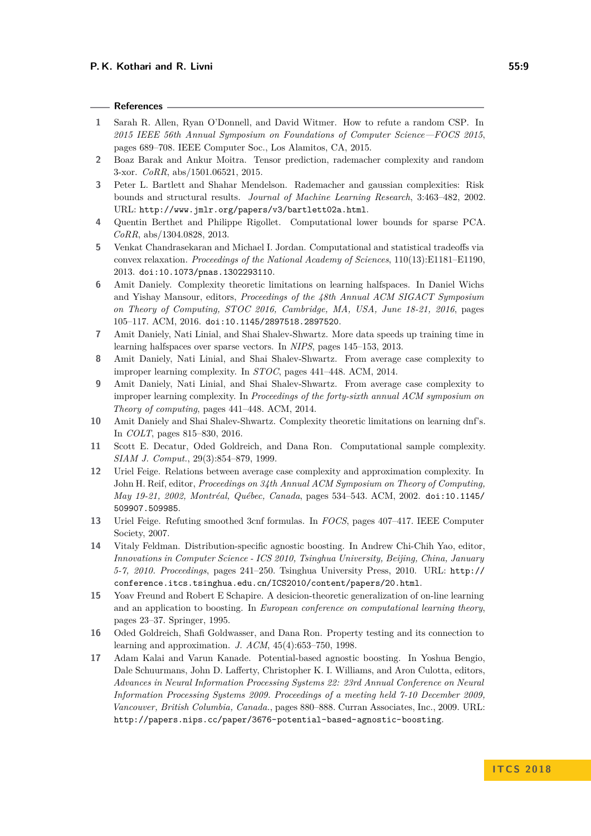## **References**

- <span id="page-8-12"></span>**1** Sarah R. Allen, Ryan O'Donnell, and David Witmer. How to refute a random CSP. In *2015 IEEE 56th Annual Symposium on Foundations of Computer Science—FOCS 2015*, pages 689–708. IEEE Computer Soc., Los Alamitos, CA, 2015.
- <span id="page-8-7"></span>**2** Boaz Barak and Ankur Moitra. Tensor prediction, rademacher complexity and random 3-xor. *CoRR*, abs/1501.06521, 2015.
- <span id="page-8-8"></span>**3** Peter L. Bartlett and Shahar Mendelson. Rademacher and gaussian complexities: Risk bounds and structural results. *Journal of Machine Learning Research*, 3:463–482, 2002. URL: <http://www.jmlr.org/papers/v3/bartlett02a.html>.
- <span id="page-8-3"></span>**4** Quentin Berthet and Philippe Rigollet. Computational lower bounds for sparse PCA. *CoRR*, abs/1304.0828, 2013.
- <span id="page-8-4"></span>**5** Venkat Chandrasekaran and Michael I. Jordan. Computational and statistical tradeoffs via convex relaxation. *Proceedings of the National Academy of Sciences*, 110(13):E1181–E1190, 2013. [doi:10.1073/pnas.1302293110](http://dx.doi.org/10.1073/pnas.1302293110).
- <span id="page-8-0"></span>**6** Amit Daniely. Complexity theoretic limitations on learning halfspaces. In Daniel Wichs and Yishay Mansour, editors, *Proceedings of the 48th Annual ACM SIGACT Symposium on Theory of Computing, STOC 2016, Cambridge, MA, USA, June 18-21, 2016*, pages 105–117. ACM, 2016. [doi:10.1145/2897518.2897520](http://dx.doi.org/10.1145/2897518.2897520).
- <span id="page-8-6"></span>**7** Amit Daniely, Nati Linial, and Shai Shalev-Shwartz. More data speeds up training time in learning halfspaces over sparse vectors. In *NIPS*, pages 145–153, 2013.
- <span id="page-8-1"></span>**8** Amit Daniely, Nati Linial, and Shai Shalev-Shwartz. From average case complexity to improper learning complexity. In *STOC*, pages 441–448. ACM, 2014.
- <span id="page-8-11"></span>**9** Amit Daniely, Nati Linial, and Shai Shalev-Shwartz. From average case complexity to improper learning complexity. In *Proceedings of the forty-sixth annual ACM symposium on Theory of computing*, pages 441–448. ACM, 2014.
- <span id="page-8-2"></span>**10** Amit Daniely and Shai Shalev-Shwartz. Complexity theoretic limitations on learning dnf's. In *COLT*, pages 815–830, 2016.
- <span id="page-8-5"></span>**11** Scott E. Decatur, Oded Goldreich, and Dana Ron. Computational sample complexity. *SIAM J. Comput.*, 29(3):854–879, 1999.
- <span id="page-8-13"></span>**12** Uriel Feige. Relations between average case complexity and approximation complexity. In John H. Reif, editor, *Proceedings on 34th Annual ACM Symposium on Theory of Computing, May 19-21, 2002, Montréal, Québec, Canada*, pages 534–543. ACM, 2002. [doi:10.1145/](http://dx.doi.org/10.1145/509907.509985) [509907.509985](http://dx.doi.org/10.1145/509907.509985).
- <span id="page-8-16"></span>**13** Uriel Feige. Refuting smoothed 3cnf formulas. In *FOCS*, pages 407–417. IEEE Computer Society, 2007.
- <span id="page-8-10"></span>**14** Vitaly Feldman. Distribution-specific agnostic boosting. In Andrew Chi-Chih Yao, editor, *Innovations in Computer Science - ICS 2010, Tsinghua University, Beijing, China, January 5-7, 2010. Proceedings*, pages 241–250. Tsinghua University Press, 2010. URL: [http://](http://conference.itcs.tsinghua.edu.cn/ICS2010/content/papers/20.html) [conference.itcs.tsinghua.edu.cn/ICS2010/content/papers/20.html](http://conference.itcs.tsinghua.edu.cn/ICS2010/content/papers/20.html).
- <span id="page-8-14"></span>**15** Yoav Freund and Robert E Schapire. A desicion-theoretic generalization of on-line learning and an application to boosting. In *European conference on computational learning theory*, pages 23–37. Springer, 1995.
- <span id="page-8-15"></span>**16** Oded Goldreich, Shafi Goldwasser, and Dana Ron. Property testing and its connection to learning and approximation. *J. ACM*, 45(4):653–750, 1998.
- <span id="page-8-9"></span>**17** Adam Kalai and Varun Kanade. Potential-based agnostic boosting. In Yoshua Bengio, Dale Schuurmans, John D. Lafferty, Christopher K. I. Williams, and Aron Culotta, editors, *Advances in Neural Information Processing Systems 22: 23rd Annual Conference on Neural Information Processing Systems 2009. Proceedings of a meeting held 7-10 December 2009, Vancouver, British Columbia, Canada.*, pages 880–888. Curran Associates, Inc., 2009. URL: <http://papers.nips.cc/paper/3676-potential-based-agnostic-boosting>.